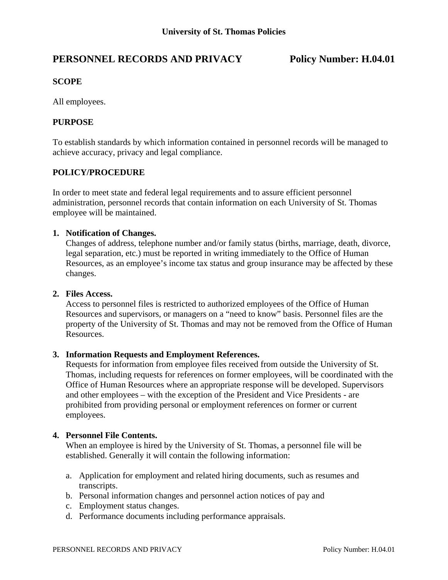# **PERSONNEL RECORDS AND PRIVACY Policy Number: H.04.01**

## **SCOPE**

All employees.

### **PURPOSE**

To establish standards by which information contained in personnel records will be managed to achieve accuracy, privacy and legal compliance.

#### **POLICY/PROCEDURE**

In order to meet state and federal legal requirements and to assure efficient personnel administration, personnel records that contain information on each University of St. Thomas employee will be maintained.

# **1. Notification of Changes.**

Changes of address, telephone number and/or family status (births, marriage, death, divorce, legal separation, etc.) must be reported in writing immediately to the Office of Human Resources, as an employee's income tax status and group insurance may be affected by these changes.

#### **2. Files Access.**

 Access to personnel files is restricted to authorized employees of the Office of Human Resources and supervisors, or managers on a "need to know" basis. Personnel files are the property of the University of St. Thomas and may not be removed from the Office of Human Resources.

#### **3. Information Requests and Employment References.**

 Requests for information from employee files received from outside the University of St. Thomas, including requests for references on former employees, will be coordinated with the Office of Human Resources where an appropriate response will be developed. Supervisors and other employees – with the exception of the President and Vice Presidents - are prohibited from providing personal or employment references on former or current employees.

#### **4. Personnel File Contents.**

 When an employee is hired by the University of St. Thomas, a personnel file will be established. Generally it will contain the following information:

- a. Application for employment and related hiring documents, such as resumes and transcripts.
- b. Personal information changes and personnel action notices of pay and
- c. Employment status changes.
- d. Performance documents including performance appraisals.